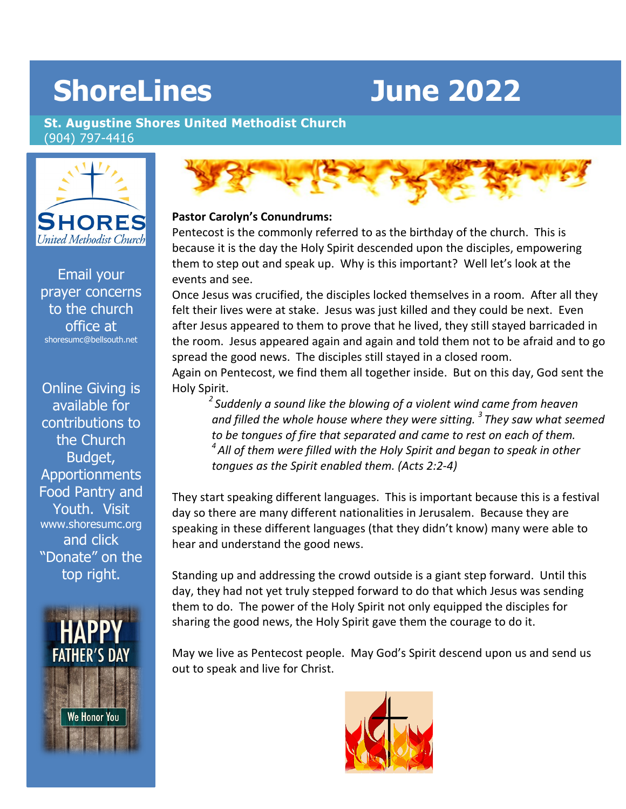# **ShoreLines June 2022**

**St. Augustine Shores United Methodist Church**  (904) 797-4416



Email your prayer concerns to the church office at [shoresumc@bellsouth.net](mailto:shoresumc@bellsouth.net)

Online Giving is available for contributions to the Church Budget, Apportionments Food Pantry and Youth. Visit [www.shoresumc.org](http://www.shoresumc.org/) and click "Donate" on the top right.





#### **Pastor Carolyn's Conundrums:**

Pentecost is the commonly referred to as the birthday of the church. This is because it is the day the Holy Spirit descended upon the disciples, empowering them to step out and speak up. Why is this important? Well let's look at the events and see.

Once Jesus was crucified, the disciples locked themselves in a room. After all they felt their lives were at stake. Jesus was just killed and they could be next. Even after Jesus appeared to them to prove that he lived, they still stayed barricaded in the room. Jesus appeared again and again and told them not to be afraid and to go spread the good news. The disciples still stayed in a closed room.

Again on Pentecost, we find them all together inside. But on this day, God sent the Holy Spirit.

*2 Suddenly a sound like the blowing of a violent wind came from heaven and filled the whole house where they were sitting. 3 They saw what seemed to be tongues of fire that separated and came to rest on each of them. 4 All of them were filled with the Holy Spirit and began to speak in other tongues as the Spirit enabled them. (Acts 2:2-4)*

They start speaking different languages. This is important because this is a festival day so there are many different nationalities in Jerusalem. Because they are speaking in these different languages (that they didn't know) many were able to hear and understand the good news.

Standing up and addressing the crowd outside is a giant step forward. Until this day, they had not yet truly stepped forward to do that which Jesus was sending them to do. The power of the Holy Spirit not only equipped the disciples for sharing the good news, the Holy Spirit gave them the courage to do it.

May we live as Pentecost people. May God's Spirit descend upon us and send us out to speak and live for Christ.

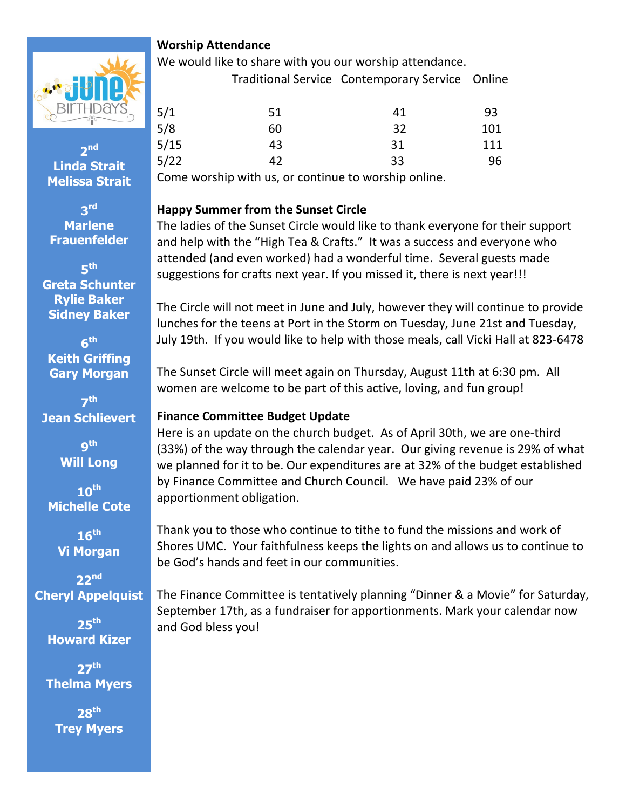

# **Worship Attendance**

We would like to share with you our worship attendance. Traditional Service Contemporary Service Online

| 5/1                             | 51 | 41 | 93  |
|---------------------------------|----|----|-----|
| $\frac{5}{8}$<br>$\frac{5}{15}$ | 60 | 32 | 101 |
|                                 | 43 | 31 | 111 |
| 5/22                            | 42 | 33 | 96  |

Come worship with us, or continue to worship online.

### **Happy Summer from the Sunset Circle**

The ladies of the Sunset Circle would like to thank everyone for their support and help with the "High Tea & Crafts." It was a success and everyone who attended (and even worked) had a wonderful time. Several guests made suggestions for crafts next year. If you missed it, there is next year!!!

The Circle will not meet in June and July, however they will continue to provide lunches for the teens at Port in the Storm on Tuesday, June 21st and Tuesday, July 19th. If you would like to help with those meals, call Vicki Hall at 823-6478

The Sunset Circle will meet again on Thursday, August 11th at 6:30 pm. All women are welcome to be part of this active, loving, and fun group!

# **Finance Committee Budget Update**

Here is an update on the church budget. As of April 30th, we are one-third (33%) of the way through the calendar year. Our giving revenue is 29% of what we planned for it to be. Our expenditures are at 32% of the budget established by Finance Committee and Church Council. We have paid 23% of our apportionment obligation.

Thank you to those who continue to tithe to fund the missions and work of Shores UMC. Your faithfulness keeps the lights on and allows us to continue to be God's hands and feet in our communities.

The Finance Committee is tentatively planning "Dinner & a Movie" for Saturday, September 17th, as a fundraiser for apportionments. Mark your calendar now and God bless you!

**Linda Strait Melissa Strait**

**2nd**

**3rd Marlene Frauenfelder**

**5th Greta Schunter Rylie Baker Sidney Baker**

**6th Keith Griffing Gary Morgan**

**7th Jean Schlievert**

> **9th Will Long**

**10th Michelle Cote**

**16th Vi Morgan**

**22nd Cheryl Appelquist**

> **25th Howard Kizer**

**27th Thelma Myers**

**28th Trey Myers**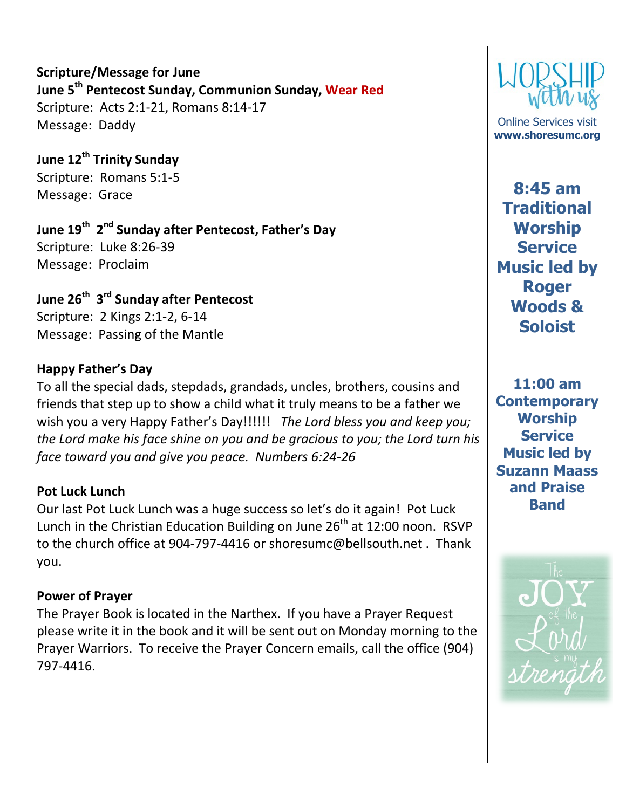**Scripture/Message for June June 5th Pentecost Sunday, Communion Sunday, Wear Red** Scripture: Acts 2:1-21, Romans 8:14-17 Message: Daddy

**June 12th Trinity Sunday** Scripture: Romans 5:1-5 Message: Grace

**June 19th 2nd Sunday after Pentecost, Father's Day** Scripture: Luke 8:26-39 Message: Proclaim

**June 26th 3rd Sunday after Pentecost** Scripture: 2 Kings 2:1-2, 6-14 Message: Passing of the Mantle

# **Happy Father's Day**

To all the special dads, stepdads, grandads, uncles, brothers, cousins and friends that step up to show a child what it truly means to be a father we wish you a very Happy Father's Day!!!!!! *The Lord bless you and keep you; the Lord make his face shine on you and be gracious to you; the Lord turn his face toward you and give you peace. Numbers 6:24-26*

# **Pot Luck Lunch**

Our last Pot Luck Lunch was a huge success so let's do it again! Pot Luck Lunch in the Christian Education Building on June  $26<sup>th</sup>$  at 12:00 noon. RSVP to the church office at 904-797-4416 or shoresumc@bellsouth.net . Thank you.

# **Power of Prayer**

The Prayer Book is located in the Narthex. If you have a Prayer Request please write it in the book and it will be sent out on Monday morning to the Prayer Warriors. To receive the Prayer Concern emails, call the office (904) 797-4416.



Online Services visit **[www.shoresumc.org](http://www.shoresumc.org/)**

**8:45 am Traditional Worship Service Music led by Roger Woods & Soloist**

**11:00 am Contemporary Worship Service Music led by Suzann Maass and Praise Band**